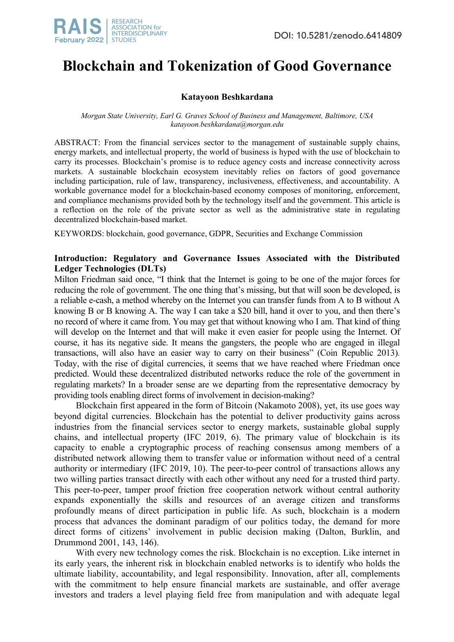# **Blockchain and Tokenization of Good Governance**

## **Katayoon Beshkardana**

*Morgan State University, Earl G. Graves School of Business and Management, Baltimore, USA katayoon.beshkardana@morgan.edu*

ABSTRACT: From the financial services sector to the management of sustainable supply chains, energy markets, and intellectual property, the world of business is hyped with the use of blockchain to carry its processes. Blockchain's promise is to reduce agency costs and increase connectivity across markets. A sustainable blockchain ecosystem inevitably relies on factors of good governance including participation, rule of law, transparency, inclusiveness, effectiveness, and accountability. A workable governance model for a blockchain-based economy composes of monitoring, enforcement, and compliance mechanisms provided both by the technology itself and the government. This article is a reflection on the role of the private sector as well as the administrative state in regulating decentralized blockchain-based market.

KEYWORDS: blockchain, good governance, GDPR, Securities and Exchange Commission

## **Introduction: Regulatory and Governance Issues Associated with the Distributed Ledger Technologies (DLTs)**

Milton Friedman said once, "I think that the Internet is going to be one of the major forces for reducing the role of government. The one thing that's missing, but that will soon be developed, is a reliable e-cash, a method whereby on the Internet you can transfer funds from A to B without A knowing B or B knowing A. The way I can take a \$20 bill, hand it over to you, and then there's no record of where it came from. You may get that without knowing who I am. That kind of thing will develop on the Internet and that will make it even easier for people using the Internet. Of course, it has its negative side. It means the gangsters, the people who are engaged in illegal transactions, will also have an easier way to carry on their business" (Coin Republic 2013)*.* Today, with the rise of digital currencies, it seems that we have reached where Friedman once predicted. Would these decentralized distributed networks reduce the role of the government in regulating markets? In a broader sense are we departing from the representative democracy by providing tools enabling direct forms of involvement in decision-making?

Blockchain first appeared in the form of Bitcoin (Nakamoto 2008), yet, its use goes way beyond digital currencies. Blockchain has the potential to deliver productivity gains across industries from the financial services sector to energy markets, sustainable global supply chains, and intellectual property (IFC 2019, 6). The primary value of blockchain is its capacity to enable a cryptographic process of reaching consensus among members of a distributed network allowing them to transfer value or information without need of a central authority or intermediary (IFC 2019, 10). The peer-to-peer control of transactions allows any two willing parties transact directly with each other without any need for a trusted third party. This peer-to-peer, tamper proof friction free cooperation network without central authority expands exponentially the skills and resources of an average citizen and transforms profoundly means of direct participation in public life. As such, blockchain is a modern process that advances the dominant paradigm of our politics today, the demand for more direct forms of citizens' involvement in public decision making (Dalton, Burklin, and Drummond 2001, 143, 146).

With every new technology comes the risk. Blockchain is no exception. Like internet in its early years, the inherent risk in blockchain enabled networks is to identify who holds the ultimate liability, accountability, and legal responsibility. Innovation, after all, complements with the commitment to help ensure financial markets are sustainable, and offer average investors and traders a level playing field free from manipulation and with adequate legal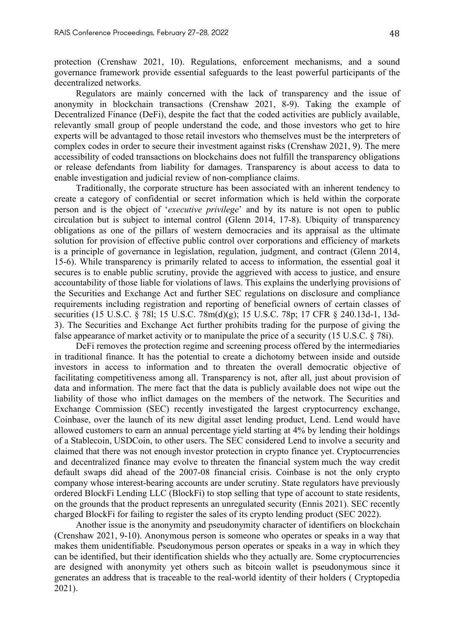protection (Crenshaw 2021, 10). Regulations, enforcement mechanisms, and a sound governance framework provide essential safeguards to the least powerful participants of the decentralized networks.

Regulators are mainly concerned with the lack of transparency and the issue of anonymity in blockchain transactions (Crenshaw 2021, 8-9). Taking the example of Decentralized Finance (DeFi), despite the fact that the coded activities are publicly available, relevantly small group of people understand the code, and those investors who get to hire experts will be advantaged to those retail investors who themselves must be the interpreters of complex codes in order to secure their investment against risks (Crenshaw 2021, 9). The mere accessibility of coded transactions on blockchains does not fulfill the transparency obligations or release defendants from liability for damages. Transparency is about access to data to enable investigation and judicial review of non-compliance claims.

Traditionally, the corporate structure has been associated with an inherent tendency to create a category of confidential or secret information which is held within the corporate person and is the object of '*executive privilege*' and by its nature is not open to public circulation but is subject to internal control (Glenn 2014, 17-8). Ubiquity of transparency obligations as one of the pillars of western democracies and its appraisal as the ultimate solution for provision of effective public control over corporations and efficiency of markets is a principle of governance in legislation, regulation, judgment, and contract (Glenn 2014, 15-6). While transparency is primarily related to access to information, the essential goal it secures is to enable public scrutiny, provide the aggrieved with access to justice, and ensure accountability of those liable for violations of laws. This explains the underlying provisions of the Securities and Exchange Act and further SEC regulations on disclosure and compliance requirements including registration and reporting of beneficial owners of certain classes of securities (15 U.S.C. § 78l; 15 U.S.C. 78m(d)(g); 15 U.S.C. 78p; 17 CFR § 240.13d-1, 13d-3). The Securities and Exchange Act further prohibits trading for the purpose of giving the false appearance of market activity or to manipulate the price of a security (15 U.S.C. § 78i).

DeFi removes the protection regime and screening process offered by the intermediaries in traditional finance. It has the potential to create a dichotomy between inside and outside investors in access to information and to threaten the overall democratic objective of facilitating competitiveness among all. Transparency is not, after all, just about provision of data and information. The mere fact that the data is publicly available does not wipe out the liability of those who inflict damages on the members of the network. The Securities and Exchange Commission (SEC) recently investigated the largest cryptocurrency exchange, Coinbase, over the launch of its new digital asset lending product, Lend. Lend would have allowed customers to earn an annual percentage yield starting at 4% by lending their holdings of a Stablecoin, USDCoin, to other users. The SEC considered Lend to involve a security and claimed that there was not enough investor protection in crypto finance yet. Cryptocurrencies and decentralized finance may evolve to threaten the financial system much the way credit default swaps did ahead of the 2007-08 financial crisis. Coinbase is not the only crypto company whose interest-bearing accounts are under scrutiny. State regulators have previously ordered BlockFi Lending LLC (BlockFi) to stop selling that type of account to state residents, on the grounds that the product represents an unregulated security (Ennis 2021). SEC recently charged BlockFi for failing to register the sales of its crypto lending product (SEC 2022).

Another issue is the anonymity and pseudonymity character of identifiers on blockchain (Crenshaw 2021, 9-10). Anonymous person is someone who operates or speaks in a way that makes them unidentifiable. Pseudonymous person operates or speaks in a way in which they can be identified, but their identification shields who they actually are. Some cryptocurrencies are designed with anonymity yet others such as bitcoin wallet is pseudonymous since it generates an address that is traceable to the real-world identity of their holders ( Cryptopedia 2021).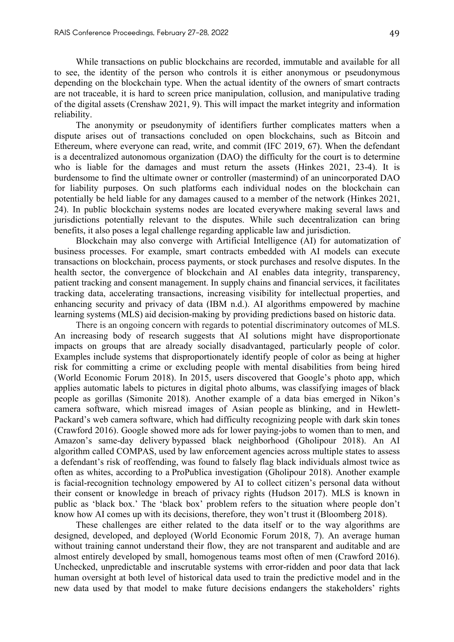While transactions on public blockchains are recorded, immutable and available for all to see, the identity of the person who controls it is either anonymous or pseudonymous depending on the blockchain type. When the actual identity of the owners of smart contracts are not traceable, it is hard to screen price manipulation, collusion, and manipulative trading of the digital assets (Crenshaw 2021, 9). This will impact the market integrity and information reliability.

The anonymity or pseudonymity of identifiers further complicates matters when a dispute arises out of transactions concluded on open blockchains, such as Bitcoin and Ethereum, where everyone can read, write, and commit (IFC 2019, 67). When the defendant is a decentralized autonomous organization (DAO) the difficulty for the court is to determine who is liable for the damages and must return the assets (Hinkes 2021, 23-4). It is burdensome to find the ultimate owner or controller (mastermind) of an unincorporated DAO for liability purposes. On such platforms each individual nodes on the blockchain can potentially be held liable for any damages caused to a member of the network (Hinkes 2021, 24). In public blockchain systems nodes are located everywhere making several laws and jurisdictions potentially relevant to the disputes. While such decentralization can bring benefits, it also poses a legal challenge regarding applicable law and jurisdiction.

Blockchain may also converge with Artificial Intelligence (AI) for automatization of business processes. For example, smart contracts embedded with AI models can execute transactions on blockchain, process payments, or stock purchases and resolve disputes. In the health sector, the convergence of blockchain and AI enables data integrity, transparency, patient tracking and consent management. In supply chains and financial services, it facilitates tracking data, accelerating transactions, increasing visibility for intellectual properties, and enhancing security and privacy of data (IBM n.d.). AI algorithms empowered by machine learning systems (MLS) aid decision-making by providing predictions based on historic data.

There is an ongoing concern with regards to potential discriminatory outcomes of MLS. An increasing body of research suggests that AI solutions might have disproportionate impacts on groups that are already socially disadvantaged, particularly people of color. Examples include systems that disproportionately identify people of color as being at higher risk for committing a crime or excluding people with mental disabilities from being hired (World Economic Forum 2018). In 2015, users discovered that Google's photo app, which applies automatic labels to pictures in digital photo albums, was classifying images of black people as gorillas (Simonite 2018). Another example of a data bias emerged in Nikon's camera software, which misread images of Asian people as blinking, and in Hewlett-Packard's web camera software, which had difficulty recognizing people with dark skin tones (Crawford 2016). Google showed more ads for lower paying-jobs to women than to men, and Amazon's same-day delivery bypassed black neighborhood (Gholipour 2018). An AI algorithm called COMPAS, used by law enforcement agencies across multiple states to assess a defendant's risk of reoffending, was found to falsely flag black individuals almost twice as often as whites, according to a ProPublica investigation (Gholipour 2018). Another example is facial-recognition technology empowered by AI to collect citizen's personal data without their consent or knowledge in breach of privacy rights (Hudson 2017). MLS is known in public as 'black box.' The 'black box' problem refers to the situation where people don't know how AI comes up with its decisions, therefore, they won't trust it (Bloomberg 2018).

These challenges are either related to the data itself or to the way algorithms are designed, developed, and deployed (World Economic Forum 2018, 7). An average human without training cannot understand their flow, they are not transparent and auditable and are almost entirely developed by small, homogenous teams most often of men (Crawford 2016). Unchecked, unpredictable and inscrutable systems with error-ridden and poor data that lack human oversight at both level of historical data used to train the predictive model and in the new data used by that model to make future decisions endangers the stakeholders' rights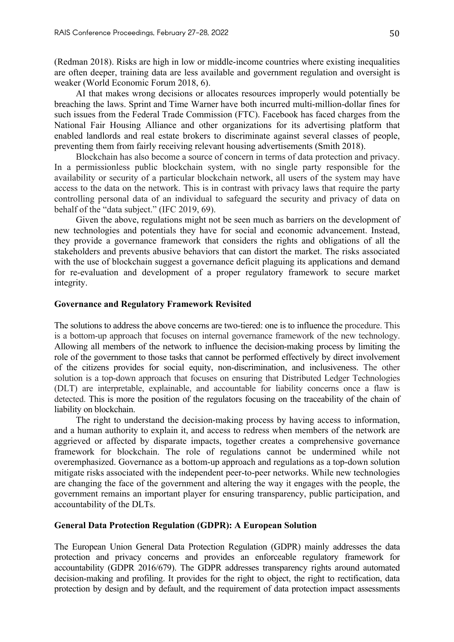(Redman 2018). Risks are high in low or middle-income countries where existing inequalities are often deeper, training data are less available and government regulation and oversight is weaker (World Economic Forum 2018, 6).

AI that makes wrong decisions or allocates resources improperly would potentially be breaching the laws. Sprint and Time Warner have both incurred multi-million-dollar fines for such issues from the Federal Trade Commission (FTC). Facebook has faced charges from the National Fair Housing Alliance and other organizations for its advertising platform that enabled landlords and real estate brokers to discriminate against several classes of people, preventing them from fairly receiving relevant housing advertisements (Smith 2018).

Blockchain has also become a source of concern in terms of data protection and privacy. In a permissionless public blockchain system, with no single party responsible for the availability or security of a particular blockchain network, all users of the system may have access to the data on the network. This is in contrast with privacy laws that require the party controlling personal data of an individual to safeguard the security and privacy of data on behalf of the "data subject." (IFC 2019, 69).

Given the above, regulations might not be seen much as barriers on the development of new technologies and potentials they have for social and economic advancement. Instead, they provide a governance framework that considers the rights and obligations of all the stakeholders and prevents abusive behaviors that can distort the market. The risks associated with the use of blockchain suggest a governance deficit plaguing its applications and demand for re-evaluation and development of a proper regulatory framework to secure market integrity.

### **Governance and Regulatory Framework Revisited**

The solutions to address the above concerns are two-tiered: one is to influence the procedure. This is a bottom-up approach that focuses on internal governance framework of the new technology. Allowing all members of the network to influence the decision-making process by limiting the role of the government to those tasks that cannot be performed effectively by direct involvement of the citizens provides for social equity, non-discrimination, and inclusiveness. The other solution is a top-down approach that focuses on ensuring that Distributed Ledger Technologies (DLT) are interpretable, explainable, and accountable for liability concerns once a flaw is detected. This is more the position of the regulators focusing on the traceability of the chain of liability on blockchain.

The right to understand the decision-making process by having access to information, and a human authority to explain it, and access to redress when members of the network are aggrieved or affected by disparate impacts, together creates a comprehensive governance framework for blockchain. The role of regulations cannot be undermined while not overemphasized. Governance as a bottom-up approach and regulations as a top-down solution mitigate risks associated with the independent peer-to-peer networks. While new technologies are changing the face of the government and altering the way it engages with the people, the government remains an important player for ensuring transparency, public participation, and accountability of the DLTs.

### **General Data Protection Regulation (GDPR): A European Solution**

The European Union General Data Protection Regulation (GDPR) mainly addresses the data protection and privacy concerns and provides an enforceable regulatory framework for accountability (GDPR 2016/679). The GDPR addresses transparency rights around automated decision-making and profiling. It provides for the right to object, the right to rectification, data protection by design and by default, and the requirement of data protection impact assessments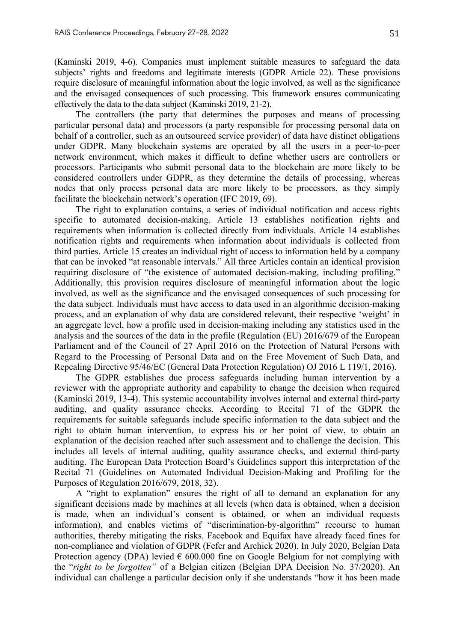(Kaminski 2019, 4-6). Companies must implement suitable measures to safeguard the data subjects' rights and freedoms and legitimate interests (GDPR Article 22). These provisions require disclosure of meaningful information about the logic involved, as well as the significance and the envisaged consequences of such processing. This framework ensures communicating effectively the data to the data subject (Kaminski 2019, 21-2).

The controllers (the party that determines the purposes and means of processing particular personal data) and processors (a party responsible for processing personal data on behalf of a controller, such as an outsourced service provider) of data have distinct obligations under GDPR. Many blockchain systems are operated by all the users in a peer-to-peer network environment, which makes it difficult to define whether users are controllers or processors. Participants who submit personal data to the blockchain are more likely to be considered controllers under GDPR, as they determine the details of processing, whereas nodes that only process personal data are more likely to be processors, as they simply facilitate the blockchain network's operation (IFC 2019, 69).

The right to explanation contains, a series of individual notification and access rights specific to automated decision-making. Article 13 establishes notification rights and requirements when information is collected directly from individuals. Article 14 establishes notification rights and requirements when information about individuals is collected from third parties. Article 15 creates an individual right of access to information held by a company that can be invoked "at reasonable intervals." All three Articles contain an identical provision requiring disclosure of "the existence of automated decision-making, including profiling." Additionally, this provision requires disclosure of meaningful information about the logic involved, as well as the significance and the envisaged consequences of such processing for the data subject. Individuals must have access to data used in an algorithmic decision-making process, and an explanation of why data are considered relevant, their respective 'weight' in an aggregate level, how a profile used in decision-making including any statistics used in the analysis and the sources of the data in the profile (Regulation (EU) 2016/679 of the European Parliament and of the Council of 27 April 2016 on the Protection of Natural Persons with Regard to the Processing of Personal Data and on the Free Movement of Such Data, and Repealing Directive 95/46/EC (General Data Protection Regulation) OJ 2016 L 119/1, 2016).

The GDPR establishes due process safeguards including human intervention by a reviewer with the appropriate authority and capability to change the decision when required (Kaminski 2019, 13-4). This systemic accountability involves internal and external third-party auditing, and quality assurance checks. According to Recital 71 of the GDPR the requirements for suitable safeguards include specific information to the data subject and the right to obtain human intervention, to express his or her point of view, to obtain an explanation of the decision reached after such assessment and to challenge the decision. This includes all levels of internal auditing, quality assurance checks, and external third-party auditing. The European Data Protection Board's Guidelines support this interpretation of the Recital 71 (Guidelines on Automated Individual Decision-Making and Profiling for the Purposes of Regulation 2016/679, 2018, 32).

A "right to explanation" ensures the right of all to demand an explanation for any significant decisions made by machines at all levels (when data is obtained, when a decision is made, when an individual's consent is obtained, or when an individual requests information), and enables victims of "discrimination-by-algorithm" recourse to human authorities, thereby mitigating the risks. Facebook and Equifax have already faced fines for non-compliance and violation of GDPR (Fefer and Archick 2020). In July 2020, Belgian Data Protection agency (DPA) levied  $\epsilon$  600.000 fine on Google Belgium for not complying with the "*right to be forgotten"* of a Belgian citizen (Belgian DPA Decision No. 37/2020). An individual can challenge a particular decision only if she understands "how it has been made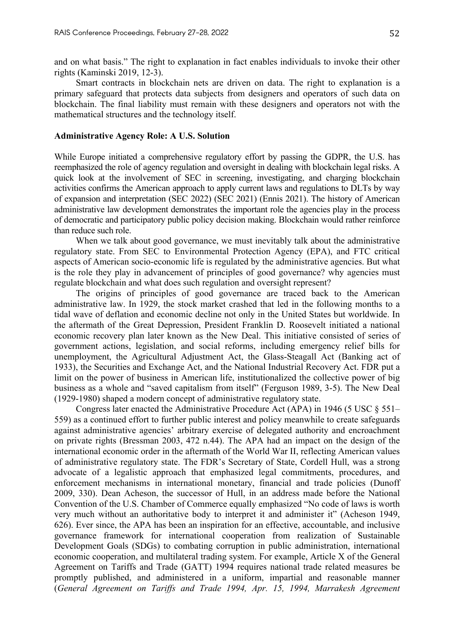and on what basis." The right to explanation in fact enables individuals to invoke their other rights (Kaminski 2019, 12-3).

Smart contracts in blockchain nets are driven on data. The right to explanation is a primary safeguard that protects data subjects from designers and operators of such data on blockchain. The final liability must remain with these designers and operators not with the mathematical structures and the technology itself.

#### **Administrative Agency Role: A U.S. Solution**

While Europe initiated a comprehensive regulatory effort by passing the GDPR, the U.S. has reemphasized the role of agency regulation and oversight in dealing with blockchain legal risks. A quick look at the involvement of SEC in screening, investigating, and charging blockchain activities confirms the American approach to apply current laws and regulations to DLTs by way of expansion and interpretation (SEC 2022) (SEC 2021) (Ennis 2021). The history of American administrative law development demonstrates the important role the agencies play in the process of democratic and participatory public policy decision making. Blockchain would rather reinforce than reduce such role.

When we talk about good governance, we must inevitably talk about the administrative regulatory state. From SEC to Environmental Protection Agency (EPA), and FTC critical aspects of American socio-economic life is regulated by the administrative agencies. But what is the role they play in advancement of principles of good governance? why agencies must regulate blockchain and what does such regulation and oversight represent?

The origins of principles of good governance are traced back to the American administrative law. In 1929, the stock market crashed that led in the following months to a tidal wave of deflation and economic decline not only in the United States but worldwide. In the aftermath of the Great Depression, President Franklin D. Roosevelt initiated a national economic recovery plan later known as the New Deal. This initiative consisted of series of government actions, legislation, and social reforms, including emergency relief bills for unemployment, the Agricultural Adjustment Act, the Glass-Steagall Act (Banking act of 1933), the Securities and Exchange Act, and the National Industrial Recovery Act. FDR put a limit on the power of business in American life, institutionalized the collective power of big business as a whole and "saved capitalism from itself" (Ferguson 1989, 3-5). The New Deal (1929-1980) shaped a modern concept of administrative regulatory state.

Congress later enacted the Administrative Procedure Act (APA) in 1946 (5 USC § 551– 559) as a continued effort to further public interest and policy meanwhile to create safeguards against administrative agencies' arbitrary exercise of delegated authority and encroachment on private rights (Bressman 2003, 472 n.44). The APA had an impact on the design of the international economic order in the aftermath of the World War II, reflecting American values of administrative regulatory state. The FDR's Secretary of State, Cordell Hull, was a strong advocate of a legalistic approach that emphasized legal commitments, procedures, and enforcement mechanisms in international monetary, financial and trade policies (Dunoff 2009, 330). Dean Acheson, the successor of Hull, in an address made before the National Convention of the U.S. Chamber of Commerce equally emphasized "No code of laws is worth very much without an authoritative body to interpret it and administer it" (Acheson 1949, 626). Ever since, the APA has been an inspiration for an effective, accountable, and inclusive governance framework for international cooperation from realization of Sustainable Development Goals (SDGs) to combating corruption in public administration, international economic cooperation, and multilateral trading system. For example, Article X of the General Agreement on Tariffs and Trade (GATT) 1994 requires national trade related measures be promptly published, and administered in a uniform, impartial and reasonable manner (*General Agreement on Tariffs and Trade 1994, Apr. 15, 1994, Marrakesh Agreement*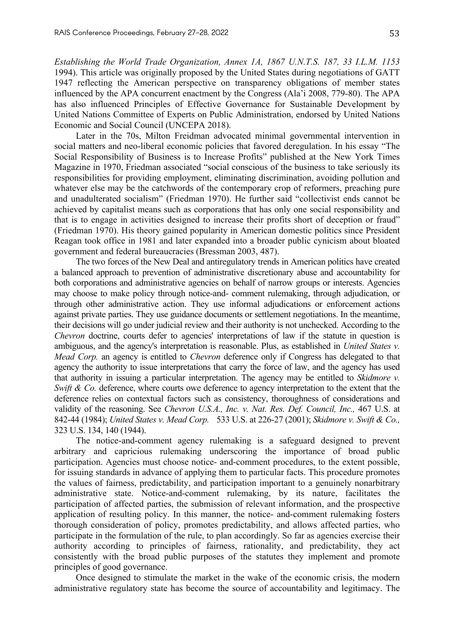*Establishing the World Trade Organization, Annex 1A, 1867 U.N.T.S. 187, 33 I.L.M. 1153* 1994). This article was originally proposed by the United States during negotiations of GATT 1947 reflecting the American perspective on transparency obligations of member states influenced by the APA concurrent enactment by the Congress (Ala'i 2008, 779-80). The APA has also influenced Principles of Effective Governance for Sustainable Development by United Nations Committee of Experts on Public Administration, endorsed by United Nations Economic and Social Council (UNCEPA 2018).

Later in the 70s, Milton Freidman advocated minimal governmental intervention in social matters and neo-liberal economic policies that favored deregulation. In his essay "The Social Responsibility of Business is to Increase Profits" published at the New York Times Magazine in 1970, Friedman associated "social conscious of the business to take seriously its responsibilities for providing employment, eliminating discrimination, avoiding pollution and whatever else may be the catchwords of the contemporary crop of reformers, preaching pure and unadulterated socialism" (Friedman 1970). He further said "collectivist ends cannot be achieved by capitalist means such as corporations that has only one social responsibility and that is to engage in activities designed to increase their profits short of deception or fraud" (Friedman 1970). His theory gained popularity in American domestic politics since President Reagan took office in 1981 and later expanded into a broader public cynicism about bloated government and federal bureaucracies (Bressman 2003, 487).

The two forces of the New Deal and antiregulatory trends in American politics have created a balanced approach to prevention of administrative discretionary abuse and accountability for both corporations and administrative agencies on behalf of narrow groups or interests. Agencies may choose to make policy through notice-and- comment rulemaking, through adjudication, or through other administrative action. They use informal adjudications or enforcement actions against private parties. They use guidance documents or settlement negotiations. In the meantime, their decisions will go under judicial review and their authority is not unchecked. According to the *Chevron* doctrine, courts defer to agencies' interpretations of law if the statute in question is ambiguous, and the agency's interpretation is reasonable. Plus, as established in *United States v. Mead Corp.* an agency is entitled to *Chevron* deference only if Congress has delegated to that agency the authority to issue interpretations that carry the force of law, and the agency has used that authority in issuing a particular interpretation. The agency may be entitled to *Skidmore v. Swift & Co.* deference, where courts owe deference to agency interpretation to the extent that the deference relies on contextual factors such as consistency, thoroughness of considerations and validity of the reasoning. See *Chevron U.S.A., Inc. v. Nat. Res. Def. Council, Inc.,* 467 U.S. at 842-44 (1984); *United States v. Mead Corp.* 533 U.S. at 226-27 (2001); *Skidmore v. Swift & Co.,* 323 U.S. 134, 140 (1944).

The notice-and-comment agency rulemaking is a safeguard designed to prevent arbitrary and capricious rulemaking underscoring the importance of broad public participation. Agencies must choose notice- and-comment procedures, to the extent possible, for issuing standards in advance of applying them to particular facts. This procedure promotes the values of fairness, predictability, and participation important to a genuinely nonarbitrary administrative state. Notice-and-comment rulemaking, by its nature, facilitates the participation of affected parties, the submission of relevant information, and the prospective application of resulting policy. In this manner, the notice- and-comment rulemaking fosters thorough consideration of policy, promotes predictability, and allows affected parties, who participate in the formulation of the rule, to plan accordingly. So far as agencies exercise their authority according to principles of fairness, rationality, and predictability, they act consistently with the broad public purposes of the statutes they implement and promote principles of good governance.

Once designed to stimulate the market in the wake of the economic crisis, the modern administrative regulatory state has become the source of accountability and legitimacy. The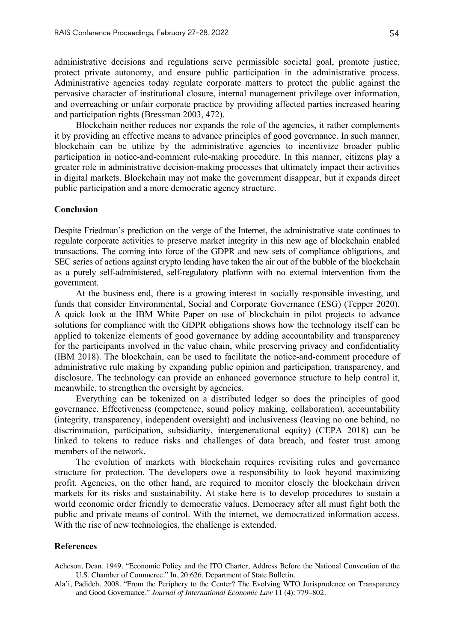administrative decisions and regulations serve permissible societal goal, promote justice, protect private autonomy, and ensure public participation in the administrative process. Administrative agencies today regulate corporate matters to protect the public against the pervasive character of institutional closure, internal management privilege over information, and overreaching or unfair corporate practice by providing affected parties increased hearing and participation rights (Bressman 2003, 472).

Blockchain neither reduces nor expands the role of the agencies, it rather complements it by providing an effective means to advance principles of good governance. In such manner, blockchain can be utilize by the administrative agencies to incentivize broader public participation in notice-and-comment rule-making procedure. In this manner, citizens play a greater role in administrative decision-making processes that ultimately impact their activities in digital markets. Blockchain may not make the government disappear, but it expands direct public participation and a more democratic agency structure.

#### **Conclusion**

Despite Friedman's prediction on the verge of the Internet, the administrative state continues to regulate corporate activities to preserve market integrity in this new age of blockchain enabled transactions. The coming into force of the GDPR and new sets of compliance obligations, and SEC series of actions against crypto lending have taken the air out of the bubble of the blockchain as a purely self-administered, self-regulatory platform with no external intervention from the government.

At the business end, there is a growing interest in socially responsible investing, and funds that consider Environmental, Social and Corporate Governance (ESG) (Tepper 2020). A quick look at the IBM White Paper on use of blockchain in pilot projects to advance solutions for compliance with the GDPR obligations shows how the technology itself can be applied to tokenize elements of good governance by adding accountability and transparency for the participants involved in the value chain, while preserving privacy and confidentiality (IBM 2018). The blockchain, can be used to facilitate the notice-and-comment procedure of administrative rule making by expanding public opinion and participation, transparency, and disclosure. The technology can provide an enhanced governance structure to help control it, meanwhile, to strengthen the oversight by agencies.

Everything can be tokenized on a distributed ledger so does the principles of good governance. Effectiveness (competence, sound policy making, collaboration), accountability (integrity, transparency, independent oversight) and inclusiveness (leaving no one behind, no discrimination, participation, subsidiarity, intergenerational equity) (CEPA 2018) can be linked to tokens to reduce risks and challenges of data breach, and foster trust among members of the network.

The evolution of markets with blockchain requires revisiting rules and governance structure for protection. The developers owe a responsibility to look beyond maximizing profit. Agencies, on the other hand, are required to monitor closely the blockchain driven markets for its risks and sustainability. At stake here is to develop procedures to sustain a world economic order friendly to democratic values. Democracy after all must fight both the public and private means of control. With the internet, we democratized information access. With the rise of new technologies, the challenge is extended.

#### **References**

Acheson, Dean. 1949. "Economic Policy and the ITO Charter, Address Before the National Convention of the U.S. Chamber of Commerce." In, 20:626. Department of State Bulletin.

Ala'i, Padideh. 2008. "From the Periphery to the Center? The Evolving WTO Jurisprudence on Transparency and Good Governance." *Journal of International Economic Law* 11 (4): 779–802.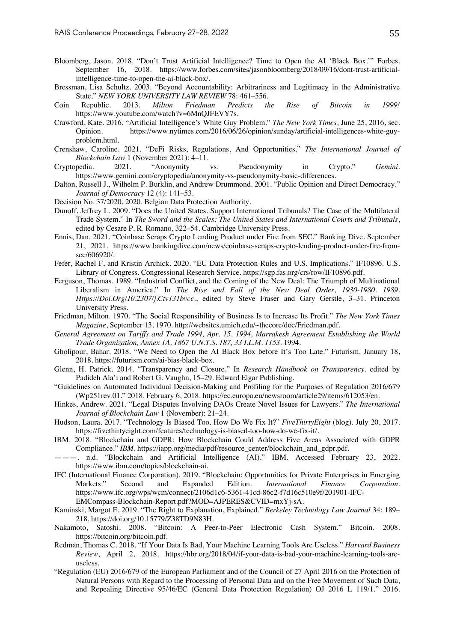- Bloomberg, Jason. 2018. "Don't Trust Artificial Intelligence? Time to Open the AI 'Black Box.'" Forbes. September 16, 2018. https://www.forbes.com/sites/jasonbloomberg/2018/09/16/dont-trust-artificialintelligence-time-to-open-the-ai-black-box/.
- Bressman, Lisa Schultz. 2003. "Beyond Accountability: Arbitrariness and Legitimacy in the Administrative State." *NEW YORK UNIVERSITY LAW REVIEW 78: 461–556.*<br>Republic. 2013. *Milton Friedman Predicts th*
- Coin Republic. 2013. *Milton Friedman Predicts the Rise of Bitcoin in 1999!* https://www.youtube.com/watch?v=6MnQJFEVY7s.
- Crawford, Kate. 2016. "Artificial Intelligence's White Guy Problem." *The New York Times*, June 25, 2016, sec. Opinion. https://www.nytimes.com/2016/06/26/opinion/sunday/artificial-intelligences-white-guyproblem.html.
- Crenshaw, Caroline. 2021. "DeFi Risks, Regulations, And Opportunities." *The International Journal of Blockchain Law* 1 (November 2021): 4–11.
- Cryptopedia. 2021. "Anonymity vs. Pseudonymity in Crypto." *Gemini*. https://www.gemini.com/cryptopedia/anonymity-vs-pseudonymity-basic-differences.
- Dalton, Russell J., Wilhelm P. Burklin, and Andrew Drummond. 2001. "Public Opinion and Direct Democracy." *Journal of Democracy* 12 (4): 141–53.
- Decision No. 37/2020. 2020. Belgian Data Protection Authority.
- Dunoff, Jeffrey L. 2009. "Does the United States. Support International Tribunals? The Case of the Multilateral Trade System." In *The Sword and the Scales: The United States and International Courts and Tribunals*, edited by Cesare P. R. Romano, 322–54. Cambridge University Press.
- Ennis, Dan. 2021. "Coinbase Scraps Crypto Lending Product under Fire from SEC." Banking Dive. September 21, 2021. https://www.bankingdive.com/news/coinbase-scraps-crypto-lending-product-under-fire-fromsec/606920/.
- Fefer, Rachel F, and Kristin Archick. 2020. "EU Data Protection Rules and U.S. Implications." IF10896. U.S. Library of Congress. Congressional Research Service. https://sgp.fas.org/crs/row/IF10896.pdf.
- Ferguson, Thomas. 1989. "Industrial Conflict, and the Coming of the New Deal: The Triumph of Multinational Liberalism in America." In *The Rise and Fall of the New Deal Order, 1930-1980. 1989. Https://Doi.Org/10.2307/j.Ctv131bvcc.*, edited by Steve Fraser and Gary Gerstle, 3–31. Princeton University Press.
- Friedman, Milton. 1970. "The Social Responsibility of Business Is to Increase Its Profit." *The New York Times Magazine*, September 13, 1970. http://websites.umich.edu/~thecore/doc/Friedman.pdf.
- *General Agreement on Tariffs and Trade 1994, Apr. 15, 1994, Marrakesh Agreement Establishing the World Trade Organization, Annex 1A, 1867 U.N.T.S. 187, 33 I.L.M. 1153*. 1994.
- Gholipour, Bahar. 2018. "We Need to Open the AI Black Box before It's Too Late." Futurism. January 18, 2018. https://futurism.com/ai-bias-black-box.
- Glenn, H. Patrick. 2014. "Transparency and Closure." In *Research Handbook on Transparency*, edited by Padideh Ala'i and Robert G. Vaughn, 15–29. Edward Elgar Publishing.
- "Guidelines on Automated Individual Decision-Making and Profiling for the Purposes of Regulation 2016/679 (Wp251rev.01." 2018. February 6, 2018. https://ec.europa.eu/newsroom/article29/items/612053/en.
- Hinkes, Andrew. 2021. "Legal Disputes Involving DAOs Create Novel Issues for Lawyers." *The International Journal of Blockchain Law* 1 (November): 21–24.
- Hudson, Laura. 2017. "Technology Is Biased Too. How Do We Fix It?" *FiveThirtyEight* (blog). July 20, 2017. https://fivethirtyeight.com/features/technology-is-biased-too-how-do-we-fix-it/.
- IBM. 2018. "Blockchain and GDPR: How Blockchain Could Address Five Areas Associated with GDPR Compliance." *IBM*. https://iapp.org/media/pdf/resource\_center/blockchain\_and\_gdpr.pdf.
- ———. n.d. "Blockchain and Artificial Intelligence (AI)." IBM. Accessed February 23, 2022. https://www.ibm.com/topics/blockchain-ai.
- IFC (International Finance Corporation). 2019. "Blockchain: Opportunities for Private Enterprises in Emerging Markets." Second and Expanded Edition. *International Finance Corporation.* https://www.ifc.org/wps/wcm/connect/2106d1c6-5361-41cd-86c2-f7d16c510e9f/201901-IFC-EMCompass-Blockchain-Report.pdf?MOD=AJPERES&CVID=mxYj-sA.
- Kaminski, Margot E. 2019. "The Right to Explanation, Explained." *Berkeley Technology Law Journal* 34: 189– 218. https://doi.org/10.15779/Z38TD9N83H.
- Nakamoto, Satoshi. 2008. "Bitcoin: A Peer-to-Peer Electronic Cash System." Bitcoin. 2008. https://bitcoin.org/bitcoin.pdf.
- Redman, Thomas C. 2018. "If Your Data Is Bad, Your Machine Learning Tools Are Useless." *Harvard Business Review*, April 2, 2018. https://hbr.org/2018/04/if-your-data-is-bad-your-machine-learning-tools-areuseless.
- "Regulation (EU) 2016/679 of the European Parliament and of the Council of 27 April 2016 on the Protection of Natural Persons with Regard to the Processing of Personal Data and on the Free Movement of Such Data, and Repealing Directive 95/46/EC (General Data Protection Regulation) OJ 2016 L 119/1." 2016.